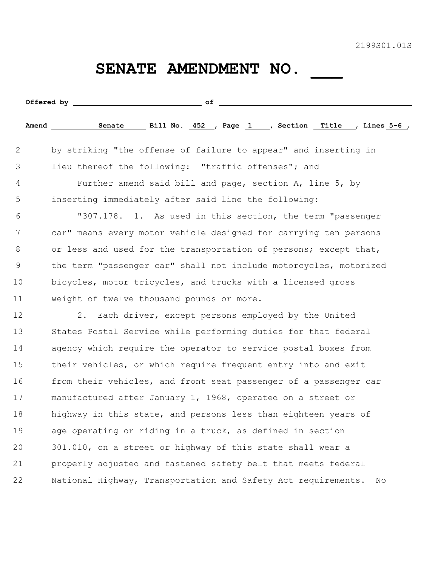2199S01.01S

## SENATE AMENDMENT NO.

|    | $\circ$ f                                                           |
|----|---------------------------------------------------------------------|
|    |                                                                     |
| 2  | by striking "the offense of failure to appear" and inserting in     |
| 3  | lieu thereof the following: "traffic offenses"; and                 |
| 4  | Further amend said bill and page, section A, line 5, by             |
| 5  | inserting immediately after said line the following:                |
| 6  | "307.178. 1. As used in this section, the term "passenger           |
| 7  | car" means every motor vehicle designed for carrying ten persons    |
| 8  | or less and used for the transportation of persons; except that,    |
| 9  | the term "passenger car" shall not include motorcycles, motorized   |
| 10 | bicycles, motor tricycles, and trucks with a licensed gross         |
| 11 | weight of twelve thousand pounds or more.                           |
| 12 | Each driver, except persons employed by the United<br>2.            |
| 13 | States Postal Service while performing duties for that federal      |
| 14 | agency which require the operator to service postal boxes from      |
| 15 | their vehicles, or which require frequent entry into and exit       |
| 16 | from their vehicles, and front seat passenger of a passenger car    |
| 17 | manufactured after January 1, 1968, operated on a street or         |
| 18 | highway in this state, and persons less than eighteen years of      |
| 19 | age operating or riding in a truck, as defined in section           |
| 20 | 301.010, on a street or highway of this state shall wear a          |
| 21 | properly adjusted and fastened safety belt that meets federal       |
| 22 | National Highway, Transportation and Safety Act requirements.<br>No |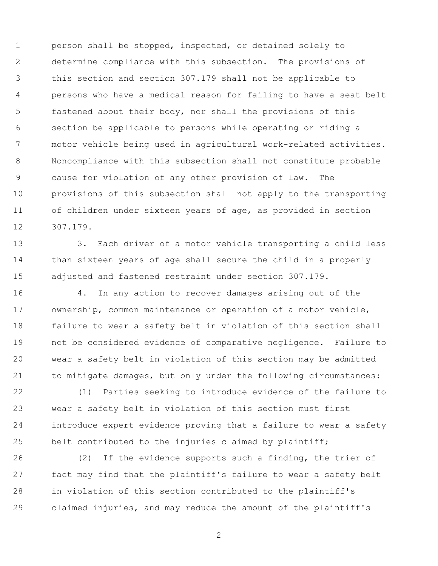person shall be stopped, inspected, or detained solely to determine compliance with this subsection. The provisions of this section and section 307.179 shall not be applicable to persons who have a medical reason for failing to have a seat belt fastened about their body, nor shall the provisions of this section be applicable to persons while operating or riding a motor vehicle being used in agricultural work-related activities. Noncompliance with this subsection shall not constitute probable cause for violation of any other provision of law. The provisions of this subsection shall not apply to the transporting of children under sixteen years of age, as provided in section 307.179.

 3. Each driver of a motor vehicle transporting a child less than sixteen years of age shall secure the child in a properly adjusted and fastened restraint under section 307.179.

 4. In any action to recover damages arising out of the ownership, common maintenance or operation of a motor vehicle, failure to wear a safety belt in violation of this section shall not be considered evidence of comparative negligence. Failure to wear a safety belt in violation of this section may be admitted to mitigate damages, but only under the following circumstances:

 (1) Parties seeking to introduce evidence of the failure to wear a safety belt in violation of this section must first introduce expert evidence proving that a failure to wear a safety belt contributed to the injuries claimed by plaintiff;

 (2) If the evidence supports such a finding, the trier of fact may find that the plaintiff's failure to wear a safety belt in violation of this section contributed to the plaintiff's claimed injuries, and may reduce the amount of the plaintiff's